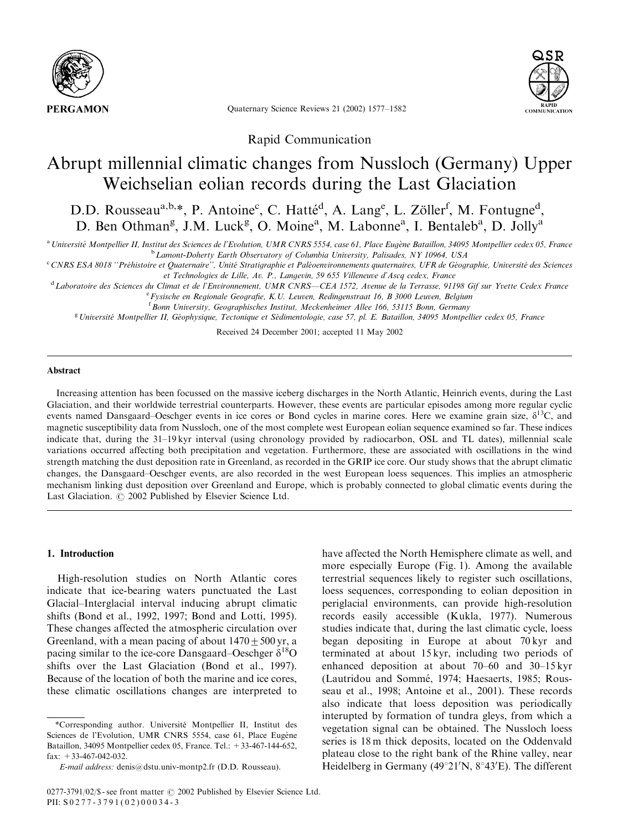

Quaternary Science Reviews 21 (2002) 1577–1582



Rapid Communication

# Abrupt millennial climatic changes from Nussloch (Germany) Upper Weichselian eolian records during the Last Glaciation

D.D. Rousseau<sup>a,b,\*</sup>, P. Antoine<sup>c</sup>, C. Hatté<sup>d</sup>, A. Lang<sup>e</sup>, L. Zöller<sup>f</sup>, M. Fontugne<sup>d</sup>, D. Ben Othman<sup>g</sup>, J.M. Luck<sup>g</sup>, O. Moine<sup>a</sup>, M. Labonne<sup>a</sup>, I. Bentaleb<sup>a</sup>, D. Jolly<sup>a</sup>

 $a$  Université Montpellier II, Institut des Sciences de l'Evolution, UMR CNRS 5554, case 61, Place Eugène Bataillon, 34095 Montpellier cedex 05, France <sup>b</sup> Lamont-Doherty Earth Observatory of Columbia University, Palisades, NY 10964, USA

<sup>c</sup> CNRS ESA 8018 "Préhistoire et Quaternaire", Unité Stratigraphie et Paléoenvironnements quaternaires, UFR de Géographie, Université des Sciences et Technologies de Lille, Av. P., Langevin, 59 655 Villeneuve d'Ascq cedex, France

<sup>d</sup> Laboratoire des Sciences du Climat et de l'Environnement, UMR CNRS—CEA 1572, Avenue de la Terrasse, 91198 Gif sur Yvette Cedex France <sup>e</sup> Fysische en Regionale Geografie, K.U. Leuven, Redingenstraat 16, B 3000 Leuven, Belgium

<sup>f</sup> Bonn University, Geographisches Institut, Meckenheimer Allee 166, 53115 Bonn, Germany

<sup>g</sup> Université Montpellier II, Géophysique, Tectonique et Sédimentologie, case 57, pl. E. Bataillon, 34095 Montpellier cedex 05, France

Received 24 December 2001; accepted 11 May 2002

#### Abstract

Increasing attention has been focussed on the massive iceberg discharges in the North Atlantic, Heinrich events, during the Last Glaciation, and their worldwide terrestrial counterparts. However, these events are particular episodes among more regular cyclic events named Dansgaard–Oeschger events in ice cores or Bond cycles in marine cores. Here we examine grain size,  $\delta^{13}C$ , and magnetic susceptibility data from Nussloch, one of the most complete west European eolian sequence examined so far. These indices indicate that, during the 31–19 kyr interval (using chronology provided by radiocarbon, OSL and TL dates), millennial scale variations occurred affecting both precipitation and vegetation. Furthermore, these are associated with oscillations in the wind strength matching the dust deposition rate in Greenland, as recorded in the GRIP ice core. Our study shows that the abrupt climatic changes, the Dansgaard–Oeschger events, are also recorded in the west European loess sequences. This implies an atmospheric mechanism linking dust deposition over Greenland and Europe, which is probably connected to global climatic events during the Last Glaciation.  $\odot$  2002 Published by Elsevier Science Ltd.

## 1. Introduction

High-resolution studies on North Atlantic cores indicate that ice-bearing waters punctuated the Last Glacial–Interglacial interval inducing abrupt climatic shifts (Bond et al., 1992, 1997; Bond and Lotti, 1995). These changes affected the atmospheric circulation over Greenland, with a mean pacing of about  $1470+500$  yr, a pacing similar to the ice-core Dansgaard–Oeschger  $\delta^{18}O$ shifts over the Last Glaciation (Bond et al., 1997). Because of the location of both the marine and ice cores, these climatic oscillations changes are interpreted to

\*Corresponding author. Universite Montpellier II, Institut des ! Sciences de l'Evolution, UMR CNRS 5554, case 61, Place Eugène Bataillon, 34095 Montpellier cedex 05, France. Tel.: +33-467-144-652, fax:  $+33-467-042-032$ .

have affected the North Hemisphere climate as well, and more especially Europe (Fig. 1). Among the available terrestrial sequences likely to register such oscillations, loess sequences, corresponding to eolian deposition in periglacial environments, can provide high-resolution records easily accessible (Kukla, 1977). Numerous studies indicate that, during the last climatic cycle, loess began depositing in Europe at about 70 kyr and terminated at about 15 kyr, including two periods of enhanced deposition at about 70–60 and 30–15 kyr (Lautridou and Sommé, 1974; Haesaerts, 1985; Rousseau et al., 1998; Antoine et al., 2001). These records also indicate that loess deposition was periodically interupted by formation of tundra gleys, from which a vegetation signal can be obtained. The Nussloch loess series is 18 m thick deposits, located on the Oddenvald plateau close to the right bank of the Rhine valley, near Heidelberg in Germany (49°21'N, 8°43'E). The different

E-mail address: denis@dstu.univ-montp2.fr (D.D. Rousseau).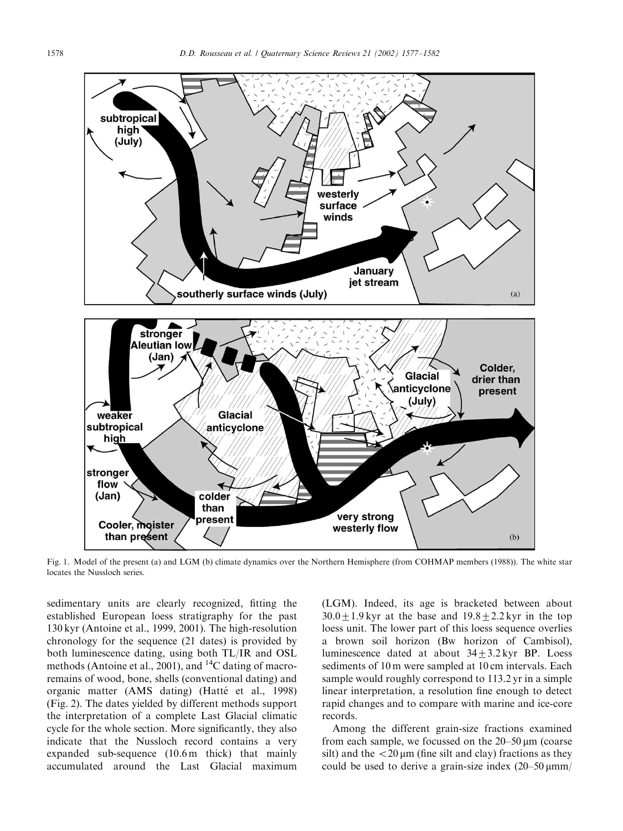

Fig. 1. Model of the present (a) and LGM (b) climate dynamics over the Northern Hemisphere (from COHMAP members (1988)). The white star locates the Nussloch series.

sedimentary units are clearly recognized, fitting the established European loess stratigraphy for the past 130 kyr (Antoine et al., 1999, 2001). The high-resolution chronology for the sequence (21 dates) is provided by both luminescence dating, using both TL/IR and OSL methods (Antoine et al., 2001), and <sup>14</sup>C dating of macroremains of wood, bone, shells (conventional dating) and organic matter (AMS dating) (Hatté et al., 1998) (Fig. 2). The dates yielded by different methods support the interpretation of a complete Last Glacial climatic cycle for the whole section. More significantly, they also indicate that the Nussloch record contains a very expanded sub-sequence (10.6 m thick) that mainly accumulated around the Last Glacial maximum

(LGM). Indeed, its age is bracketed between about  $30.0+1.9$  kyr at the base and  $19.8\pm2.2$  kyr in the top loess unit. The lower part of this loess sequence overlies a brown soil horizon (Bw horizon of Cambisol), luminescence dated at about  $34+3.2$  kyr BP. Loess sediments of 10 m were sampled at 10 cm intervals. Each sample would roughly correspond to 113.2 yr in a simple linear interpretation, a resolution fine enough to detect rapid changes and to compare with marine and ice-core records.

Among the different grain-size fractions examined from each sample, we focussed on the  $20-50 \,\mu m$  (coarse silt) and the  $\langle 20 \mu m \rangle$  (fine silt and clay) fractions as they could be used to derive a grain-size index  $(20-50 \,\mu\text{mm})$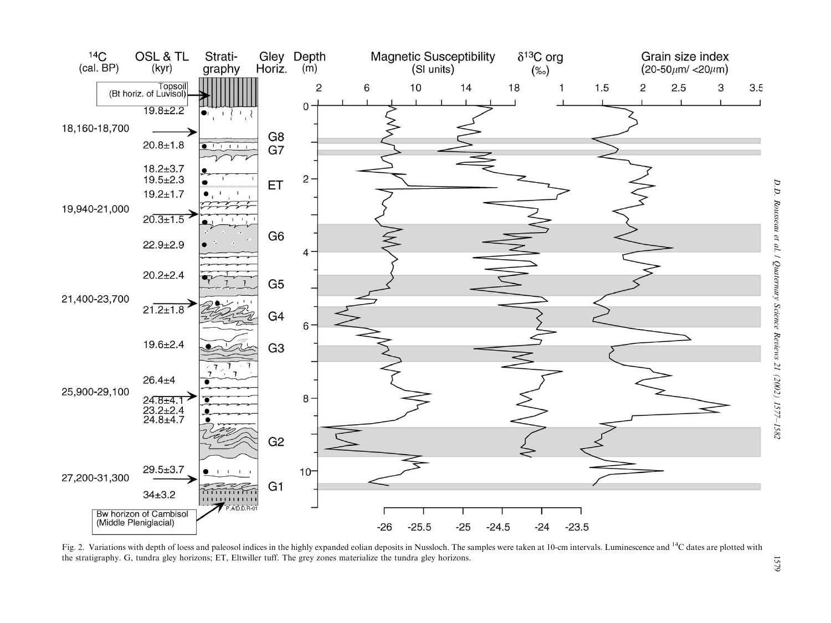

Fig. 2. Variations with depth of loess and paleosol indices in the highly expanded eolian deposits in Nussloch. The samples were taken at 10-cm intervals. Luminescence and <sup>14</sup>C dates are plotted with the stratigraphy. G, tundra gley horizons; ET, Eltwiller tuff. The grey zones materialize the tundra gley horizons.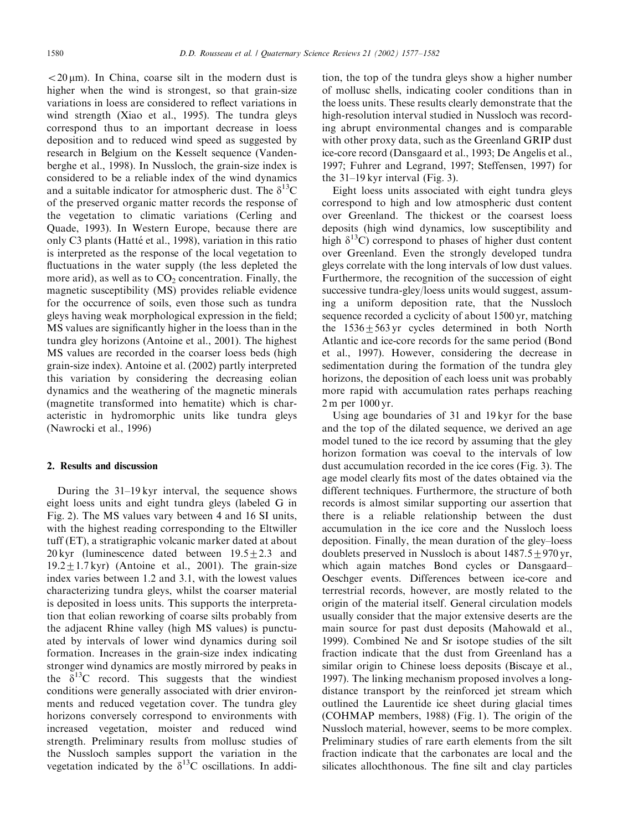$<$  20  $\mu$ m). In China, coarse silt in the modern dust is higher when the wind is strongest, so that grain-size variations in loess are considered to reflect variations in wind strength (Xiao et al., 1995). The tundra gleys correspond thus to an important decrease in loess deposition and to reduced wind speed as suggested by research in Belgium on the Kesselt sequence (Vandenberghe et al., 1998). In Nussloch, the grain-size index is considered to be a reliable index of the wind dynamics and a suitable indicator for atmospheric dust. The  $\delta^{13}C$ of the preserved organic matter records the response of the vegetation to climatic variations (Cerling and Quade, 1993). In Western Europe, because there are only C3 plants (Hatté et al., 1998), variation in this ratio is interpreted as the response of the local vegetation to fluctuations in the water supply (the less depleted the more arid), as well as to  $CO<sub>2</sub>$  concentration. Finally, the magnetic susceptibility (MS) provides reliable evidence for the occurrence of soils, even those such as tundra gleys having weak morphological expression in the field; MS values are significantly higher in the loess than in the tundra gley horizons (Antoine et al., 2001). The highest MS values are recorded in the coarser loess beds (high grain-size index). Antoine et al. (2002) partly interpreted this variation by considering the decreasing eolian dynamics and the weathering of the magnetic minerals (magnetite transformed into hematite) which is characteristic in hydromorphic units like tundra gleys (Nawrocki et al., 1996)

# 2. Results and discussion

During the 31–19 kyr interval, the sequence shows eight loess units and eight tundra gleys (labeled G in Fig. 2). The MS values vary between 4 and 16 SI units, with the highest reading corresponding to the Eltwiller tuff (ET), a stratigraphic volcanic marker dated at about  $20 \,\text{kyr}$  (luminescence dated between  $19.5+2.3$  and  $19.2 \pm 1.7$  kyr) (Antoine et al., 2001). The grain-size index varies between 1.2 and 3.1, with the lowest values characterizing tundra gleys, whilst the coarser material is deposited in loess units. This supports the interpretation that eolian reworking of coarse silts probably from the adjacent Rhine valley (high MS values) is punctuated by intervals of lower wind dynamics during soil formation. Increases in the grain-size index indicating stronger wind dynamics are mostly mirrored by peaks in the  $\delta^{13}$ C record. This suggests that the windiest conditions were generally associated with drier environments and reduced vegetation cover. The tundra gley horizons conversely correspond to environments with increased vegetation, moister and reduced wind strength. Preliminary results from mollusc studies of the Nussloch samples support the variation in the vegetation indicated by the  $\delta^{13}$ C oscillations. In addition, the top of the tundra gleys show a higher number of mollusc shells, indicating cooler conditions than in the loess units. These results clearly demonstrate that the high-resolution interval studied in Nussloch was recording abrupt environmental changes and is comparable with other proxy data, such as the Greenland GRIP dust ice-core record (Dansgaard et al., 1993; De Angelis et al., 1997; Fuhrer and Legrand, 1997; Steffensen, 1997) for the  $31-19$  kyr interval (Fig. 3).

Eight loess units associated with eight tundra gleys correspond to high and low atmospheric dust content over Greenland. The thickest or the coarsest loess deposits (high wind dynamics, low susceptibility and high  $\delta^{13}$ C) correspond to phases of higher dust content over Greenland. Even the strongly developed tundra gleys correlate with the long intervals of low dust values. Furthermore, the recognition of the succession of eight successive tundra-gley/loess units would suggest, assuming a uniform deposition rate, that the Nussloch sequence recorded a cyclicity of about 1500 yr, matching the  $1536+563$  yr cycles determined in both North Atlantic and ice-core records for the same period (Bond et al., 1997). However, considering the decrease in sedimentation during the formation of the tundra gley horizons, the deposition of each loess unit was probably more rapid with accumulation rates perhaps reaching 2 m per 1000 yr.

Using age boundaries of 31 and 19 kyr for the base and the top of the dilated sequence, we derived an age model tuned to the ice record by assuming that the gley horizon formation was coeval to the intervals of low dust accumulation recorded in the ice cores (Fig. 3). The age model clearly fits most of the dates obtained via the different techniques. Furthermore, the structure of both records is almost similar supporting our assertion that there is a reliable relationship between the dust accumulation in the ice core and the Nussloch loess deposition. Finally, the mean duration of the gley–loess doublets preserved in Nussloch is about  $1487.5+970$  yr, which again matches Bond cycles or Dansgaard– Oeschger events. Differences between ice-core and terrestrial records, however, are mostly related to the origin of the material itself. General circulation models usually consider that the major extensive deserts are the main source for past dust deposits (Mahowald et al., 1999). Combined Ne and Sr isotope studies of the silt fraction indicate that the dust from Greenland has a similar origin to Chinese loess deposits (Biscaye et al., 1997). The linking mechanism proposed involves a longdistance transport by the reinforced jet stream which outlined the Laurentide ice sheet during glacial times (COHMAP members, 1988) (Fig. 1). The origin of the Nussloch material, however, seems to be more complex. Preliminary studies of rare earth elements from the silt fraction indicate that the carbonates are local and the silicates allochthonous. The fine silt and clay particles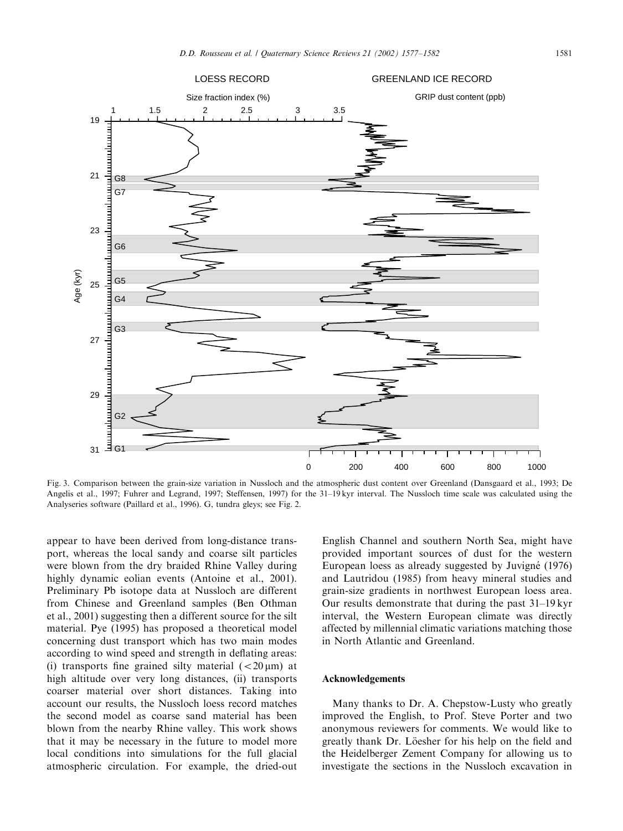

Fig. 3. Comparison between the grain-size variation in Nussloch and the atmospheric dust content over Greenland (Dansgaard et al., 1993; De Angelis et al., 1997; Fuhrer and Legrand, 1997; Steffensen, 1997) for the 31–19 kyr interval. The Nussloch time scale was calculated using the Analyseries software (Paillard et al., 1996). G, tundra gleys; see Fig. 2.

appear to have been derived from long-distance transport, whereas the local sandy and coarse silt particles were blown from the dry braided Rhine Valley during highly dynamic eolian events (Antoine et al., 2001). Preliminary Pb isotope data at Nussloch are different from Chinese and Greenland samples (Ben Othman et al., 2001) suggesting then a different source for the silt material. Pye (1995) has proposed a theoretical model concerning dust transport which has two main modes according to wind speed and strength in deflating areas: (i) transports fine grained silty material  $\left( < 20 \mu \text{m} \right)$  at high altitude over very long distances, (ii) transports coarser material over short distances. Taking into account our results, the Nussloch loess record matches the second model as coarse sand material has been blown from the nearby Rhine valley. This work shows that it may be necessary in the future to model more local conditions into simulations for the full glacial atmospheric circulation. For example, the dried-out English Channel and southern North Sea, might have provided important sources of dust for the western European loess as already suggested by Juvigné (1976) and Lautridou (1985) from heavy mineral studies and grain-size gradients in northwest European loess area. Our results demonstrate that during the past 31–19 kyr interval, the Western European climate was directly affected by millennial climatic variations matching those in North Atlantic and Greenland.

#### Acknowledgements

Many thanks to Dr. A. Chepstow-Lusty who greatly improved the English, to Prof. Steve Porter and two anonymous reviewers for comments. We would like to greatly thank Dr. Löesher for his help on the field and the Heidelberger Zement Company for allowing us to investigate the sections in the Nussloch excavation in